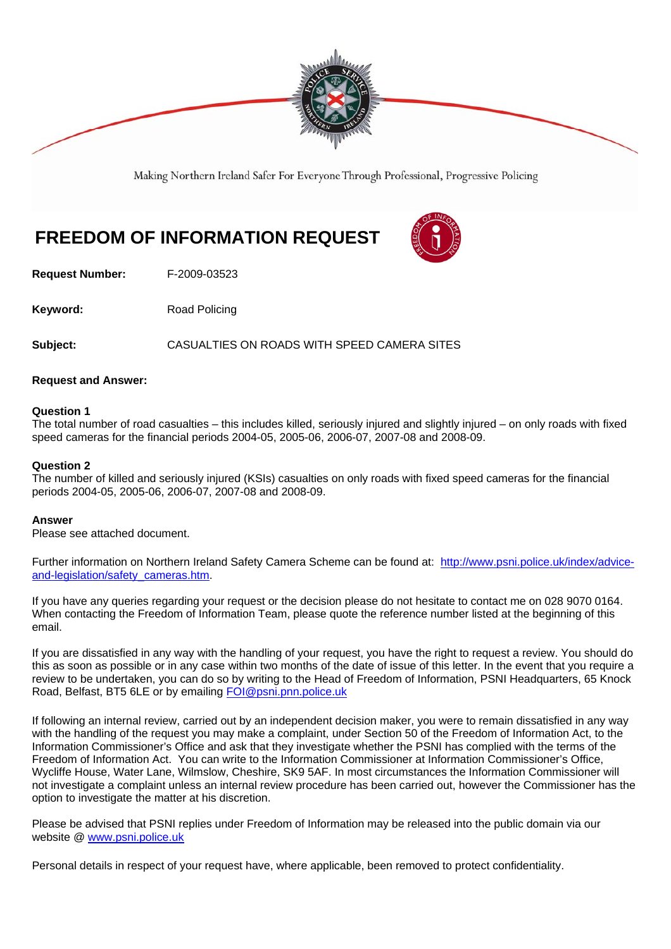

Making Northern Ireland Safer For Everyone Through Professional, Progressive Policing

# **FREEDOM OF INFORMATION REQUEST**

**Request Number:** F-2009-03523

**Keyword:** Road Policing

**Subject:** CASUALTIES ON ROADS WITH SPEED CAMERA SITES

### **Request and Answer:**

#### **Question 1**

The total number of road casualties – this includes killed, seriously injured and slightly injured – on only roads with fixed speed cameras for the financial periods 2004-05, 2005-06, 2006-07, 2007-08 and 2008-09.

#### **Question 2**

The number of killed and seriously injured (KSIs) casualties on only roads with fixed speed cameras for the financial periods 2004-05, 2005-06, 2006-07, 2007-08 and 2008-09.

#### **Answer**

Please see attached document.

Further information on Northern Ireland Safety Camera Scheme can be found at: http://www.psni.police.uk/index/adviceand-legislation/safety\_cameras.htm.

If you have any queries regarding your request or the decision please do not hesitate to contact me on 028 9070 0164. When contacting the Freedom of Information Team, please quote the reference number listed at the beginning of this email.

If you are dissatisfied in any way with the handling of your request, you have the right to request a review. You should do this as soon as possible or in any case within two months of the date of issue of this letter. In the event that you require a review to be undertaken, you can do so by writing to the Head of Freedom of Information, PSNI Headquarters, 65 Knock Road, Belfast, BT5 6LE or by emailing FOI@psni.pnn.police.uk

If following an internal review, carried out by an independent decision maker, you were to remain dissatisfied in any way with the handling of the request you may make a complaint, under Section 50 of the Freedom of Information Act, to the Information Commissioner's Office and ask that they investigate whether the PSNI has complied with the terms of the Freedom of Information Act. You can write to the Information Commissioner at Information Commissioner's Office, Wycliffe House, Water Lane, Wilmslow, Cheshire, SK9 5AF. In most circumstances the Information Commissioner will not investigate a complaint unless an internal review procedure has been carried out, however the Commissioner has the option to investigate the matter at his discretion.

Please be advised that PSNI replies under Freedom of Information may be released into the public domain via our website @ www.psni.police.uk

Personal details in respect of your request have, where applicable, been removed to protect confidentiality.